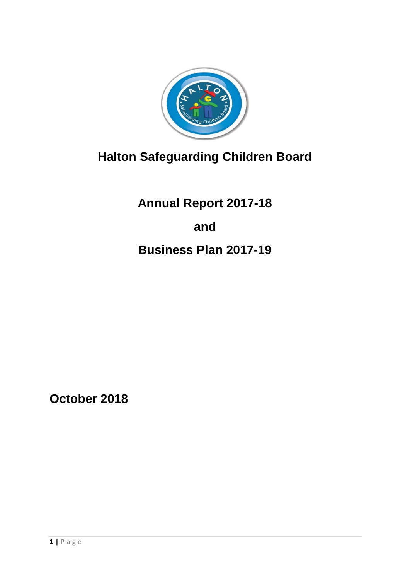

# **Halton Safeguarding Children Board**

**Annual Report 2017-18 and Business Plan 2017-19**

**October 2018**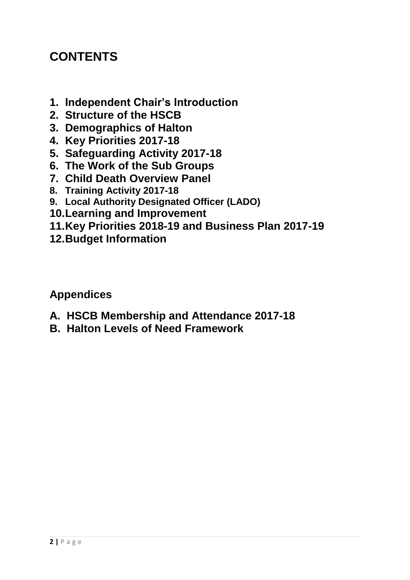# **CONTENTS**

- **1. Independent Chair's Introduction**
- **2. Structure of the HSCB**
- **3. Demographics of Halton**
- **4. Key Priorities 2017-18**
- **5. Safeguarding Activity 2017-18**
- **6. The Work of the Sub Groups**
- **7. Child Death Overview Panel**
- **8. Training Activity 2017-18**
- **9. Local Authority Designated Officer (LADO)**
- **10.Learning and Improvement**
- **11.Key Priorities 2018-19 and Business Plan 2017-19**
- **12.Budget Information**

**Appendices**

- **A. HSCB Membership and Attendance 2017-18**
- **B. Halton Levels of Need Framework**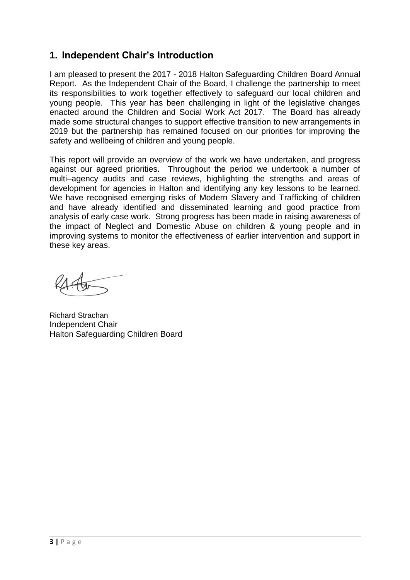#### **1. Independent Chair's Introduction**

I am pleased to present the 2017 - 2018 Halton Safeguarding Children Board Annual Report. As the Independent Chair of the Board, I challenge the partnership to meet its responsibilities to work together effectively to safeguard our local children and young people. This year has been challenging in light of the legislative changes enacted around the Children and Social Work Act 2017. The Board has already made some structural changes to support effective transition to new arrangements in 2019 but the partnership has remained focused on our priorities for improving the safety and wellbeing of children and young people.

This report will provide an overview of the work we have undertaken, and progress against our agreed priorities. Throughout the period we undertook a number of multi–agency audits and case reviews, highlighting the strengths and areas of development for agencies in Halton and identifying any key lessons to be learned. We have recognised emerging risks of Modern Slavery and Trafficking of children and have already identified and disseminated learning and good practice from analysis of early case work. Strong progress has been made in raising awareness of the impact of Neglect and Domestic Abuse on children & young people and in improving systems to monitor the effectiveness of earlier intervention and support in these key areas.

Richard Strachan Independent Chair Halton Safeguarding Children Board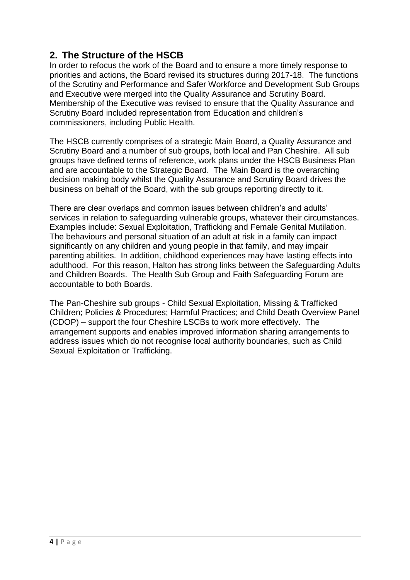### **2. The Structure of the HSCB**

In order to refocus the work of the Board and to ensure a more timely response to priorities and actions, the Board revised its structures during 2017-18. The functions of the Scrutiny and Performance and Safer Workforce and Development Sub Groups and Executive were merged into the Quality Assurance and Scrutiny Board. Membership of the Executive was revised to ensure that the Quality Assurance and Scrutiny Board included representation from Education and children's commissioners, including Public Health.

The HSCB currently comprises of a strategic Main Board, a Quality Assurance and Scrutiny Board and a number of sub groups, both local and Pan Cheshire. All sub groups have defined terms of reference, work plans under the HSCB Business Plan and are accountable to the Strategic Board. The Main Board is the overarching decision making body whilst the Quality Assurance and Scrutiny Board drives the business on behalf of the Board, with the sub groups reporting directly to it.

There are clear overlaps and common issues between children's and adults' services in relation to safeguarding vulnerable groups, whatever their circumstances. Examples include: Sexual Exploitation, Trafficking and Female Genital Mutilation. The behaviours and personal situation of an adult at risk in a family can impact significantly on any children and young people in that family, and may impair parenting abilities. In addition, childhood experiences may have lasting effects into adulthood. For this reason, Halton has strong links between the Safeguarding Adults and Children Boards. The Health Sub Group and Faith Safeguarding Forum are accountable to both Boards.

The Pan-Cheshire sub groups - Child Sexual Exploitation, Missing & Trafficked Children; Policies & Procedures; Harmful Practices; and Child Death Overview Panel (CDOP) – support the four Cheshire LSCBs to work more effectively. The arrangement supports and enables improved information sharing arrangements to address issues which do not recognise local authority boundaries, such as Child Sexual Exploitation or Trafficking.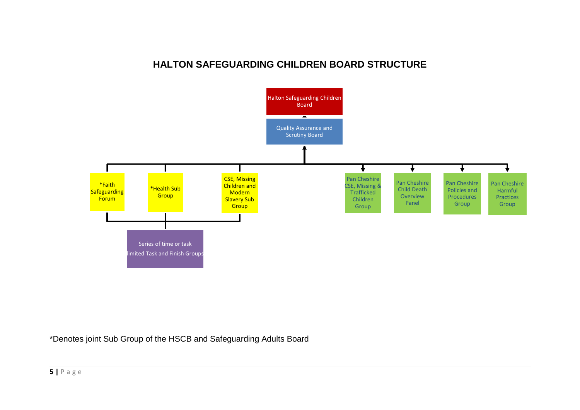#### **HALTON SAFEGUARDING CHILDREN BOARD STRUCTURE**



\*Denotes joint Sub Group of the HSCB and Safeguarding Adults Board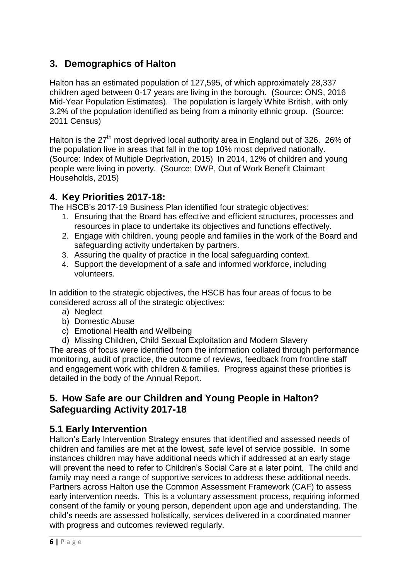## **3. Demographics of Halton**

Halton has an estimated population of 127,595, of which approximately 28,337 children aged between 0-17 years are living in the borough. (Source: ONS, 2016 Mid-Year Population Estimates). The population is largely White British, with only 3.2% of the population identified as being from a minority ethnic group. (Source: 2011 Census)

Halton is the  $27<sup>th</sup>$  most deprived local authority area in England out of 326. 26% of the population live in areas that fall in the top 10% most deprived nationally. (Source: Index of Multiple Deprivation, 2015) In 2014, 12% of children and young people were living in poverty. (Source: DWP, Out of Work Benefit Claimant Households, 2015)

#### **4. Key Priorities 2017-18:**

The HSCB's 2017-19 Business Plan identified four strategic objectives:

- 1. Ensuring that the Board has effective and efficient structures, processes and resources in place to undertake its objectives and functions effectively.
- 2. Engage with children, young people and families in the work of the Board and safeguarding activity undertaken by partners.
- 3. Assuring the quality of practice in the local safeguarding context.
- 4. Support the development of a safe and informed workforce, including volunteers.

In addition to the strategic objectives, the HSCB has four areas of focus to be considered across all of the strategic objectives:

- a) Neglect
- b) Domestic Abuse
- c) Emotional Health and Wellbeing
- d) Missing Children, Child Sexual Exploitation and Modern Slavery

The areas of focus were identified from the information collated through performance monitoring, audit of practice, the outcome of reviews, feedback from frontline staff and engagement work with children & families. Progress against these priorities is detailed in the body of the Annual Report.

#### **5. How Safe are our Children and Young People in Halton? Safeguarding Activity 2017-18**

#### **5.1 Early Intervention**

Halton's Early Intervention Strategy ensures that identified and assessed needs of children and families are met at the lowest, safe level of service possible. In some instances children may have additional needs which if addressed at an early stage will prevent the need to refer to Children's Social Care at a later point. The child and family may need a range of supportive services to address these additional needs. Partners across Halton use the Common Assessment Framework (CAF) to assess early intervention needs. This is a voluntary assessment process, requiring informed consent of the family or young person, dependent upon age and understanding. The child's needs are assessed holistically, services delivered in a coordinated manner with progress and outcomes reviewed regularly.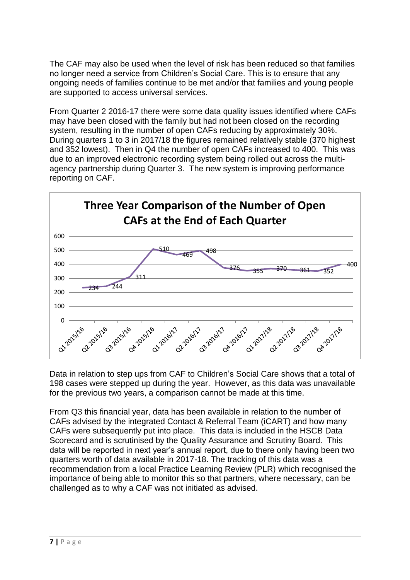The CAF may also be used when the level of risk has been reduced so that families no longer need a service from Children's Social Care. This is to ensure that any ongoing needs of families continue to be met and/or that families and young people are supported to access universal services.

From Quarter 2 2016-17 there were some data quality issues identified where CAFs may have been closed with the family but had not been closed on the recording system, resulting in the number of open CAFs reducing by approximately 30%. During quarters 1 to 3 in 2017/18 the figures remained relatively stable (370 highest and 352 lowest). Then in Q4 the number of open CAFs increased to 400. This was due to an improved electronic recording system being rolled out across the multiagency partnership during Quarter 3. The new system is improving performance reporting on CAF.



Data in relation to step ups from CAF to Children's Social Care shows that a total of 198 cases were stepped up during the year. However, as this data was unavailable for the previous two years, a comparison cannot be made at this time.

From Q3 this financial year, data has been available in relation to the number of CAFs advised by the integrated Contact & Referral Team (iCART) and how many CAFs were subsequently put into place. This data is included in the HSCB Data Scorecard and is scrutinised by the Quality Assurance and Scrutiny Board. This data will be reported in next year's annual report, due to there only having been two quarters worth of data available in 2017-18. The tracking of this data was a recommendation from a local Practice Learning Review (PLR) which recognised the importance of being able to monitor this so that partners, where necessary, can be challenged as to why a CAF was not initiated as advised.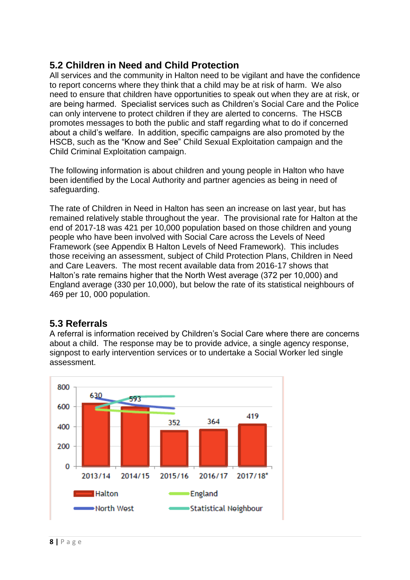#### **5.2 Children in Need and Child Protection**

All services and the community in Halton need to be vigilant and have the confidence to report concerns where they think that a child may be at risk of harm. We also need to ensure that children have opportunities to speak out when they are at risk, or are being harmed. Specialist services such as Children's Social Care and the Police can only intervene to protect children if they are alerted to concerns. The HSCB promotes messages to both the public and staff regarding what to do if concerned about a child's welfare. In addition, specific campaigns are also promoted by the HSCB, such as the "Know and See" Child Sexual Exploitation campaign and the Child Criminal Exploitation campaign.

The following information is about children and young people in Halton who have been identified by the Local Authority and partner agencies as being in need of safeguarding.

The rate of Children in Need in Halton has seen an increase on last year, but has remained relatively stable throughout the year. The provisional rate for Halton at the end of 2017-18 was 421 per 10,000 population based on those children and young people who have been involved with Social Care across the Levels of Need Framework (see Appendix B Halton Levels of Need Framework). This includes those receiving an assessment, subject of Child Protection Plans, Children in Need and Care Leavers. The most recent available data from 2016-17 shows that Halton's rate remains higher that the North West average (372 per 10,000) and England average (330 per 10,000), but below the rate of its statistical neighbours of 469 per 10, 000 population.

#### **5.3 Referrals**

A referral is information received by Children's Social Care where there are concerns about a child. The response may be to provide advice, a single agency response, signpost to early intervention services or to undertake a Social Worker led single assessment.

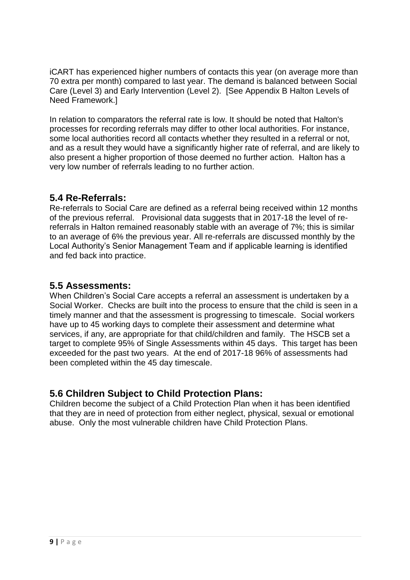iCART has experienced higher numbers of contacts this year (on average more than 70 extra per month) compared to last year. The demand is balanced between Social Care (Level 3) and Early Intervention (Level 2). [See Appendix B Halton Levels of Need Framework.]

In relation to comparators the referral rate is low. It should be noted that Halton's processes for recording referrals may differ to other local authorities. For instance, some local authorities record all contacts whether they resulted in a referral or not, and as a result they would have a significantly higher rate of referral, and are likely to also present a higher proportion of those deemed no further action. Halton has a very low number of referrals leading to no further action.

#### **5.4 Re-Referrals:**

Re-referrals to Social Care are defined as a referral being received within 12 months of the previous referral. Provisional data suggests that in 2017-18 the level of rereferrals in Halton remained reasonably stable with an average of 7%; this is similar to an average of 6% the previous year. All re-referrals are discussed monthly by the Local Authority's Senior Management Team and if applicable learning is identified and fed back into practice.

#### **5.5 Assessments:**

When Children's Social Care accepts a referral an assessment is undertaken by a Social Worker. Checks are built into the process to ensure that the child is seen in a timely manner and that the assessment is progressing to timescale. Social workers have up to 45 working days to complete their assessment and determine what services, if any, are appropriate for that child/children and family. The HSCB set a target to complete 95% of Single Assessments within 45 days. This target has been exceeded for the past two years. At the end of 2017-18 96% of assessments had been completed within the 45 day timescale.

#### **5.6 Children Subject to Child Protection Plans:**

Children become the subject of a Child Protection Plan when it has been identified that they are in need of protection from either neglect, physical, sexual or emotional abuse. Only the most vulnerable children have Child Protection Plans.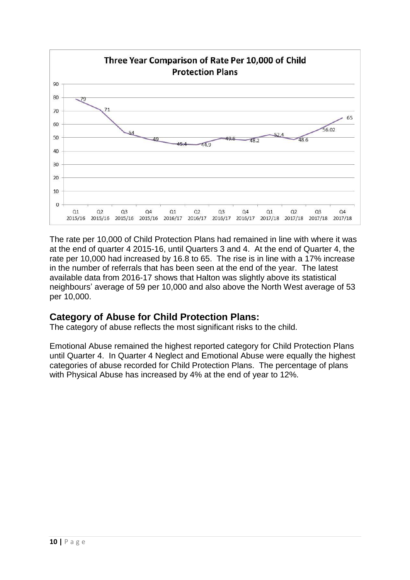

The rate per 10,000 of Child Protection Plans had remained in line with where it was at the end of quarter 4 2015-16, until Quarters 3 and 4. At the end of Quarter 4, the rate per 10,000 had increased by 16.8 to 65. The rise is in line with a 17% increase in the number of referrals that has been seen at the end of the year. The latest available data from 2016-17 shows that Halton was slightly above its statistical neighbours' average of 59 per 10,000 and also above the North West average of 53 per 10,000.

#### **Category of Abuse for Child Protection Plans:**

The category of abuse reflects the most significant risks to the child.

Emotional Abuse remained the highest reported category for Child Protection Plans until Quarter 4. In Quarter 4 Neglect and Emotional Abuse were equally the highest categories of abuse recorded for Child Protection Plans. The percentage of plans with Physical Abuse has increased by 4% at the end of year to 12%.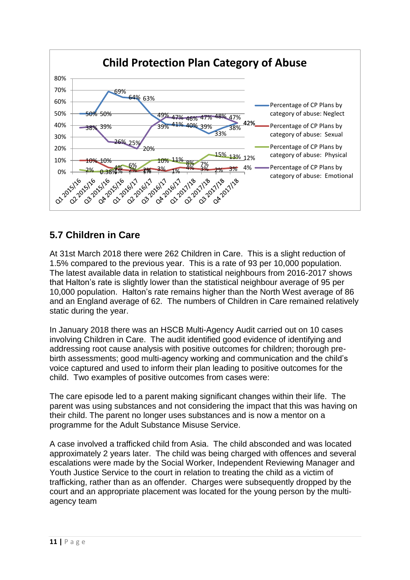

## **5.7 Children in Care**

At 31st March 2018 there were 262 Children in Care. This is a slight reduction of 1.5% compared to the previous year. This is a rate of 93 per 10,000 population. The latest available data in relation to statistical neighbours from 2016-2017 shows that Halton's rate is slightly lower than the statistical neighbour average of 95 per 10,000 population. Halton's rate remains higher than the North West average of 86 and an England average of 62. The numbers of Children in Care remained relatively static during the year.

In January 2018 there was an HSCB Multi-Agency Audit carried out on 10 cases involving Children in Care. The audit identified good evidence of identifying and addressing root cause analysis with positive outcomes for children; thorough prebirth assessments; good multi-agency working and communication and the child's voice captured and used to inform their plan leading to positive outcomes for the child. Two examples of positive outcomes from cases were:

The care episode led to a parent making significant changes within their life. The parent was using substances and not considering the impact that this was having on their child. The parent no longer uses substances and is now a mentor on a programme for the Adult Substance Misuse Service.

A case involved a trafficked child from Asia. The child absconded and was located approximately 2 years later. The child was being charged with offences and several escalations were made by the Social Worker, Independent Reviewing Manager and Youth Justice Service to the court in relation to treating the child as a victim of trafficking, rather than as an offender. Charges were subsequently dropped by the court and an appropriate placement was located for the young person by the multiagency team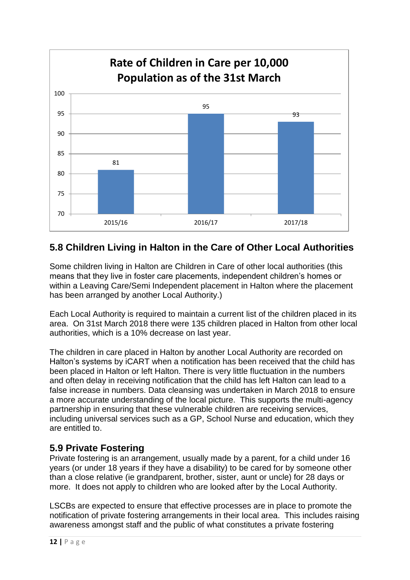

## **5.8 Children Living in Halton in the Care of Other Local Authorities**

Some children living in Halton are Children in Care of other local authorities (this means that they live in foster care placements, independent children's homes or within a Leaving Care/Semi Independent placement in Halton where the placement has been arranged by another Local Authority.)

Each Local Authority is required to maintain a current list of the children placed in its area. On 31st March 2018 there were 135 children placed in Halton from other local authorities, which is a 10% decrease on last year.

The children in care placed in Halton by another Local Authority are recorded on Halton's systems by iCART when a notification has been received that the child has been placed in Halton or left Halton. There is very little fluctuation in the numbers and often delay in receiving notification that the child has left Halton can lead to a false increase in numbers. Data cleansing was undertaken in March 2018 to ensure a more accurate understanding of the local picture. This supports the multi-agency partnership in ensuring that these vulnerable children are receiving services, including universal services such as a GP, School Nurse and education, which they are entitled to.

#### **5.9 Private Fostering**

Private fostering is an arrangement, usually made by a parent, for a child under 16 years (or under 18 years if they have a disability) to be cared for by someone other than a close relative (ie grandparent, brother, sister, aunt or uncle) for 28 days or more. It does not apply to children who are looked after by the Local Authority.

LSCBs are expected to ensure that effective processes are in place to promote the notification of private fostering arrangements in their local area. This includes raising awareness amongst staff and the public of what constitutes a private fostering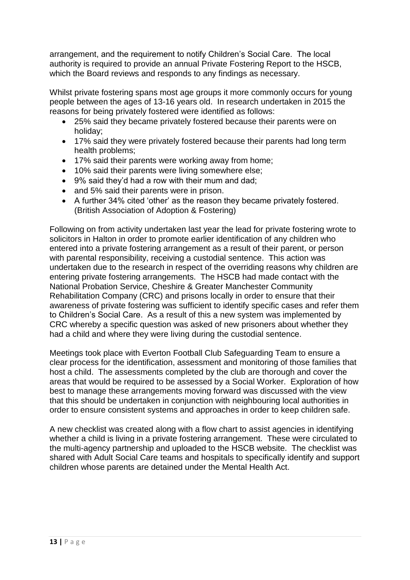arrangement, and the requirement to notify Children's Social Care. The local authority is required to provide an annual Private Fostering Report to the HSCB, which the Board reviews and responds to any findings as necessary.

Whilst private fostering spans most age groups it more commonly occurs for young people between the ages of 13-16 years old. In research undertaken in 2015 the reasons for being privately fostered were identified as follows:

- 25% said they became privately fostered because their parents were on holiday;
- 17% said they were privately fostered because their parents had long term health problems;
- 17% said their parents were working away from home;
- 10% said their parents were living somewhere else;
- 9% said they'd had a row with their mum and dad;
- and 5% said their parents were in prison.
- A further 34% cited 'other' as the reason they became privately fostered. (British Association of Adoption & Fostering)

Following on from activity undertaken last year the lead for private fostering wrote to solicitors in Halton in order to promote earlier identification of any children who entered into a private fostering arrangement as a result of their parent, or person with parental responsibility, receiving a custodial sentence. This action was undertaken due to the research in respect of the overriding reasons why children are entering private fostering arrangements. The HSCB had made contact with the National Probation Service, Cheshire & Greater Manchester Community Rehabilitation Company (CRC) and prisons locally in order to ensure that their awareness of private fostering was sufficient to identify specific cases and refer them to Children's Social Care. As a result of this a new system was implemented by CRC whereby a specific question was asked of new prisoners about whether they had a child and where they were living during the custodial sentence.

Meetings took place with Everton Football Club Safeguarding Team to ensure a clear process for the identification, assessment and monitoring of those families that host a child. The assessments completed by the club are thorough and cover the areas that would be required to be assessed by a Social Worker. Exploration of how best to manage these arrangements moving forward was discussed with the view that this should be undertaken in conjunction with neighbouring local authorities in order to ensure consistent systems and approaches in order to keep children safe.

A new checklist was created along with a flow chart to assist agencies in identifying whether a child is living in a private fostering arrangement. These were circulated to the multi-agency partnership and uploaded to the HSCB website. The checklist was shared with Adult Social Care teams and hospitals to specifically identify and support children whose parents are detained under the Mental Health Act.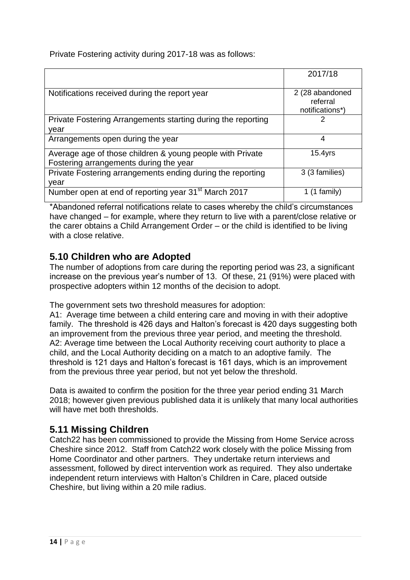Private Fostering activity during 2017-18 was as follows:

|                                                                  | 2017/18                                        |
|------------------------------------------------------------------|------------------------------------------------|
| Notifications received during the report year                    | 2 (28 abandoned<br>referral<br>notifications*) |
| Private Fostering Arrangements starting during the reporting     | 2                                              |
| vear                                                             |                                                |
| Arrangements open during the year                                | 4                                              |
| Average age of those children & young people with Private        | $15.4$ yrs                                     |
| Fostering arrangements during the year                           |                                                |
| Private Fostering arrangements ending during the reporting       | 3 (3 families)                                 |
| vear                                                             |                                                |
| Number open at end of reporting year 31 <sup>st</sup> March 2017 | 1 family)                                      |

\*Abandoned referral notifications relate to cases whereby the child's circumstances have changed – for example, where they return to live with a parent/close relative or the carer obtains a Child Arrangement Order – or the child is identified to be living with a close relative.

## **5.10 Children who are Adopted**

The number of adoptions from care during the reporting period was 23, a significant increase on the previous year's number of 13. Of these, 21 (91%) were placed with prospective adopters within 12 months of the decision to adopt.

The government sets two threshold measures for adoption:

A1: Average time between a child entering care and moving in with their adoptive family. The threshold is 426 days and Halton's forecast is 420 days suggesting both an improvement from the previous three year period, and meeting the threshold. A2: Average time between the Local Authority receiving court authority to place a child, and the Local Authority deciding on a match to an adoptive family. The threshold is 121 days and Halton's forecast is 161 days, which is an improvement from the previous three year period, but not yet below the threshold.

Data is awaited to confirm the position for the three year period ending 31 March 2018; however given previous published data it is unlikely that many local authorities will have met both thresholds.

## **5.11 Missing Children**

Catch22 has been commissioned to provide the Missing from Home Service across Cheshire since 2012. Staff from Catch22 work closely with the police Missing from Home Coordinator and other partners. They undertake return interviews and assessment, followed by direct intervention work as required. They also undertake independent return interviews with Halton's Children in Care, placed outside Cheshire, but living within a 20 mile radius.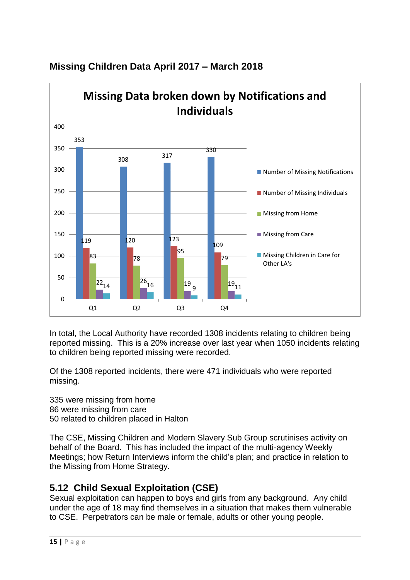

## **Missing Children Data April 2017 – March 2018**

In total, the Local Authority have recorded 1308 incidents relating to children being reported missing. This is a 20% increase over last year when 1050 incidents relating to children being reported missing were recorded.

Of the 1308 reported incidents, there were 471 individuals who were reported missing.

335 were missing from home 86 were missing from care 50 related to children placed in Halton

The CSE, Missing Children and Modern Slavery Sub Group scrutinises activity on behalf of the Board. This has included the impact of the multi-agency Weekly Meetings; how Return Interviews inform the child's plan; and practice in relation to the Missing from Home Strategy.

## **5.12 Child Sexual Exploitation (CSE)**

Sexual exploitation can happen to boys and girls from any background. Any child under the age of 18 may find themselves in a situation that makes them vulnerable to CSE. Perpetrators can be male or female, adults or other young people.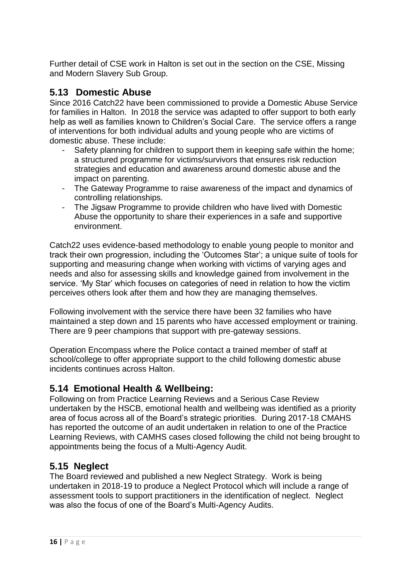Further detail of CSE work in Halton is set out in the section on the CSE, Missing and Modern Slavery Sub Group.

#### **5.13 Domestic Abuse**

Since 2016 Catch22 have been commissioned to provide a Domestic Abuse Service for families in Halton. In 2018 the service was adapted to offer support to both early help as well as families known to Children's Social Care. The service offers a range of interventions for both individual adults and young people who are victims of domestic abuse. These include:

- Safety planning for children to support them in keeping safe within the home: a structured programme for victims/survivors that ensures risk reduction strategies and education and awareness around domestic abuse and the impact on parenting.
- The Gateway Programme to raise awareness of the impact and dynamics of controlling relationships.
- The Jigsaw Programme to provide children who have lived with Domestic Abuse the opportunity to share their experiences in a safe and supportive environment.

Catch22 uses evidence-based methodology to enable young people to monitor and track their own progression, including the 'Outcomes Star'; a unique suite of tools for supporting and measuring change when working with victims of varying ages and needs and also for assessing skills and knowledge gained from involvement in the service. 'My Star' which focuses on categories of need in relation to how the victim perceives others look after them and how they are managing themselves.

Following involvement with the service there have been 32 families who have maintained a step down and 15 parents who have accessed employment or training. There are 9 peer champions that support with pre-gateway sessions.

Operation Encompass where the Police contact a trained member of staff at school/college to offer appropriate support to the child following domestic abuse incidents continues across Halton.

#### **5.14 Emotional Health & Wellbeing:**

Following on from Practice Learning Reviews and a Serious Case Review undertaken by the HSCB, emotional health and wellbeing was identified as a priority area of focus across all of the Board's strategic priorities. During 2017-18 CMAHS has reported the outcome of an audit undertaken in relation to one of the Practice Learning Reviews, with CAMHS cases closed following the child not being brought to appointments being the focus of a Multi-Agency Audit.

#### **5.15 Neglect**

The Board reviewed and published a new Neglect Strategy. Work is being undertaken in 2018-19 to produce a Neglect Protocol which will include a range of assessment tools to support practitioners in the identification of neglect. Neglect was also the focus of one of the Board's Multi-Agency Audits.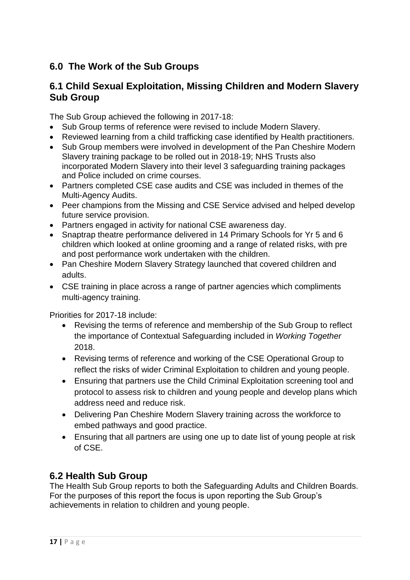## **6.0 The Work of the Sub Groups**

#### **6.1 Child Sexual Exploitation, Missing Children and Modern Slavery Sub Group**

The Sub Group achieved the following in 2017-18:

- Sub Group terms of reference were revised to include Modern Slavery.
- Reviewed learning from a child trafficking case identified by Health practitioners.
- Sub Group members were involved in development of the Pan Cheshire Modern Slavery training package to be rolled out in 2018-19; NHS Trusts also incorporated Modern Slavery into their level 3 safeguarding training packages and Police included on crime courses.
- Partners completed CSE case audits and CSE was included in themes of the Multi-Agency Audits.
- Peer champions from the Missing and CSE Service advised and helped develop future service provision.
- Partners engaged in activity for national CSE awareness day.
- Snaptrap theatre performance delivered in 14 Primary Schools for Yr 5 and 6 children which looked at online grooming and a range of related risks, with pre and post performance work undertaken with the children.
- Pan Cheshire Modern Slavery Strategy launched that covered children and adults.
- CSE training in place across a range of partner agencies which compliments multi-agency training.

Priorities for 2017-18 include:

- Revising the terms of reference and membership of the Sub Group to reflect the importance of Contextual Safeguarding included in *Working Together* 2018.
- Revising terms of reference and working of the CSE Operational Group to reflect the risks of wider Criminal Exploitation to children and young people.
- Ensuring that partners use the Child Criminal Exploitation screening tool and protocol to assess risk to children and young people and develop plans which address need and reduce risk.
- Delivering Pan Cheshire Modern Slavery training across the workforce to embed pathways and good practice.
- Ensuring that all partners are using one up to date list of young people at risk of CSE.

## **6.2 Health Sub Group**

The Health Sub Group reports to both the Safeguarding Adults and Children Boards. For the purposes of this report the focus is upon reporting the Sub Group's achievements in relation to children and young people.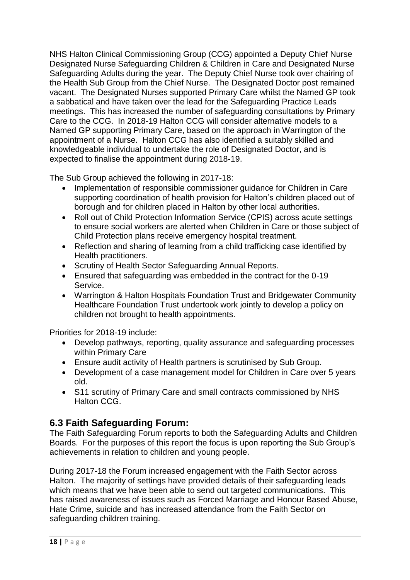NHS Halton Clinical Commissioning Group (CCG) appointed a Deputy Chief Nurse Designated Nurse Safeguarding Children & Children in Care and Designated Nurse Safeguarding Adults during the year. The Deputy Chief Nurse took over chairing of the Health Sub Group from the Chief Nurse. The Designated Doctor post remained vacant. The Designated Nurses supported Primary Care whilst the Named GP took a sabbatical and have taken over the lead for the Safeguarding Practice Leads meetings. This has increased the number of safeguarding consultations by Primary Care to the CCG. In 2018-19 Halton CCG will consider alternative models to a Named GP supporting Primary Care, based on the approach in Warrington of the appointment of a Nurse. Halton CCG has also identified a suitably skilled and knowledgeable individual to undertake the role of Designated Doctor, and is expected to finalise the appointment during 2018-19.

The Sub Group achieved the following in 2017-18:

- Implementation of responsible commissioner guidance for Children in Care supporting coordination of health provision for Halton's children placed out of borough and for children placed in Halton by other local authorities.
- Roll out of Child Protection Information Service (CPIS) across acute settings to ensure social workers are alerted when Children in Care or those subject of Child Protection plans receive emergency hospital treatment.
- Reflection and sharing of learning from a child trafficking case identified by Health practitioners.
- Scrutiny of Health Sector Safeguarding Annual Reports.
- Ensured that safeguarding was embedded in the contract for the 0-19 Service.
- Warrington & Halton Hospitals Foundation Trust and Bridgewater Community Healthcare Foundation Trust undertook work jointly to develop a policy on children not brought to health appointments.

Priorities for 2018-19 include:

- Develop pathways, reporting, quality assurance and safeguarding processes within Primary Care
- Ensure audit activity of Health partners is scrutinised by Sub Group.
- Development of a case management model for Children in Care over 5 years old.
- S11 scrutiny of Primary Care and small contracts commissioned by NHS Halton CCG.

#### **6.3 Faith Safeguarding Forum:**

The Faith Safeguarding Forum reports to both the Safeguarding Adults and Children Boards. For the purposes of this report the focus is upon reporting the Sub Group's achievements in relation to children and young people.

During 2017-18 the Forum increased engagement with the Faith Sector across Halton. The majority of settings have provided details of their safeguarding leads which means that we have been able to send out targeted communications. This has raised awareness of issues such as Forced Marriage and Honour Based Abuse, Hate Crime, suicide and has increased attendance from the Faith Sector on safeguarding children training.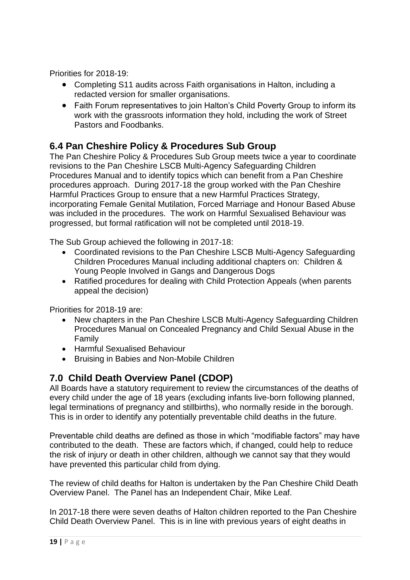Priorities for 2018-19:

- Completing S11 audits across Faith organisations in Halton, including a redacted version for smaller organisations.
- Faith Forum representatives to join Halton's Child Poverty Group to inform its work with the grassroots information they hold, including the work of Street Pastors and Foodbanks.

#### **6.4 Pan Cheshire Policy & Procedures Sub Group**

The Pan Cheshire Policy & Procedures Sub Group meets twice a year to coordinate revisions to the Pan Cheshire LSCB Multi-Agency Safeguarding Children Procedures Manual and to identify topics which can benefit from a Pan Cheshire procedures approach. During 2017-18 the group worked with the Pan Cheshire Harmful Practices Group to ensure that a new Harmful Practices Strategy, incorporating Female Genital Mutilation, Forced Marriage and Honour Based Abuse was included in the procedures. The work on Harmful Sexualised Behaviour was progressed, but formal ratification will not be completed until 2018-19.

The Sub Group achieved the following in 2017-18:

- Coordinated revisions to the Pan Cheshire LSCB Multi-Agency Safeguarding Children Procedures Manual including additional chapters on: Children & Young People Involved in Gangs and Dangerous Dogs
- Ratified procedures for dealing with Child Protection Appeals (when parents appeal the decision)

Priorities for 2018-19 are:

- New chapters in the Pan Cheshire LSCB Multi-Agency Safeguarding Children Procedures Manual on Concealed Pregnancy and Child Sexual Abuse in the Family
- Harmful Sexualised Behaviour
- Bruising in Babies and Non-Mobile Children

#### **7.0 Child Death Overview Panel (CDOP)**

All Boards have a statutory requirement to review the circumstances of the deaths of every child under the age of 18 years (excluding infants live-born following planned, legal terminations of pregnancy and stillbirths), who normally reside in the borough. This is in order to identify any potentially preventable child deaths in the future.

Preventable child deaths are defined as those in which "modifiable factors" may have contributed to the death. These are factors which, if changed, could help to reduce the risk of injury or death in other children, although we cannot say that they would have prevented this particular child from dying.

The review of child deaths for Halton is undertaken by the Pan Cheshire Child Death Overview Panel. The Panel has an Independent Chair, Mike Leaf.

In 2017-18 there were seven deaths of Halton children reported to the Pan Cheshire Child Death Overview Panel. This is in line with previous years of eight deaths in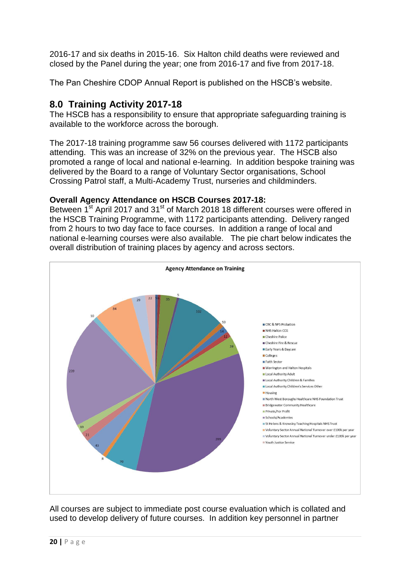2016-17 and six deaths in 2015-16. Six Halton child deaths were reviewed and closed by the Panel during the year; one from 2016-17 and five from 2017-18.

The Pan Cheshire CDOP Annual Report is published on the HSCB's website.

## **8.0 Training Activity 2017-18**

The HSCB has a responsibility to ensure that appropriate safeguarding training is available to the workforce across the borough.

The 2017-18 training programme saw 56 courses delivered with 1172 participants attending. This was an increase of 32% on the previous year. The HSCB also promoted a range of local and national e-learning. In addition bespoke training was delivered by the Board to a range of Voluntary Sector organisations, School Crossing Patrol staff, a Multi-Academy Trust, nurseries and childminders.

#### **Overall Agency Attendance on HSCB Courses 2017-18:**

Between 1<sup>st</sup> April 2017 and 31<sup>st</sup> of March 2018 18 different courses were offered in the HSCB Training Programme, with 1172 participants attending. Delivery ranged from 2 hours to two day face to face courses. In addition a range of local and national e-learning courses were also available. The pie chart below indicates the overall distribution of training places by agency and across sectors.



All courses are subject to immediate post course evaluation which is collated and used to develop delivery of future courses. In addition key personnel in partner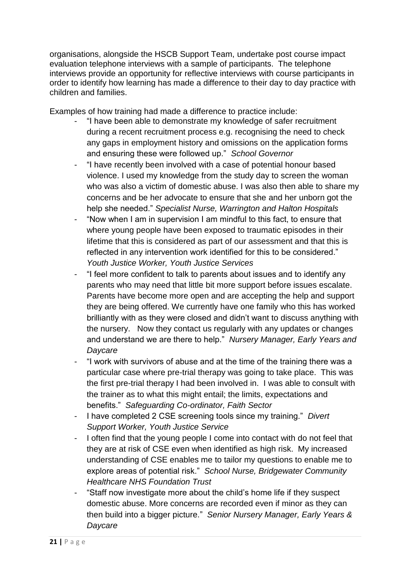organisations, alongside the HSCB Support Team, undertake post course impact evaluation telephone interviews with a sample of participants. The telephone interviews provide an opportunity for reflective interviews with course participants in order to identify how learning has made a difference to their day to day practice with children and families.

Examples of how training had made a difference to practice include:

- "I have been able to demonstrate my knowledge of safer recruitment during a recent recruitment process e.g. recognising the need to check any gaps in employment history and omissions on the application forms and ensuring these were followed up." *School Governor*
- "I have recently been involved with a case of potential honour based violence. I used my knowledge from the study day to screen the woman who was also a victim of domestic abuse. I was also then able to share my concerns and be her advocate to ensure that she and her unborn got the help she needed." *Specialist Nurse, Warrington and Halton Hospitals*
- "Now when I am in supervision I am mindful to this fact, to ensure that where young people have been exposed to traumatic episodes in their lifetime that this is considered as part of our assessment and that this is reflected in any intervention work identified for this to be considered." *Youth Justice Worker, Youth Justice Services*
- "I feel more confident to talk to parents about issues and to identify any parents who may need that little bit more support before issues escalate. Parents have become more open and are accepting the help and support they are being offered. We currently have one family who this has worked brilliantly with as they were closed and didn't want to discuss anything with the nursery. Now they contact us regularly with any updates or changes and understand we are there to help." *Nursery Manager, Early Years and Daycare*
- "I work with survivors of abuse and at the time of the training there was a particular case where pre-trial therapy was going to take place. This was the first pre-trial therapy I had been involved in. I was able to consult with the trainer as to what this might entail; the limits, expectations and benefits." *Safeguarding Co-ordinator, Faith Sector*
- I have completed 2 CSE screening tools since my training." *Divert Support Worker, Youth Justice Service*
- I often find that the young people I come into contact with do not feel that they are at risk of CSE even when identified as high risk. My increased understanding of CSE enables me to tailor my questions to enable me to explore areas of potential risk." *School Nurse, Bridgewater Community Healthcare NHS Foundation Trust*
- "Staff now investigate more about the child's home life if they suspect domestic abuse. More concerns are recorded even if minor as they can then build into a bigger picture." *Senior Nursery Manager, Early Years & Daycare*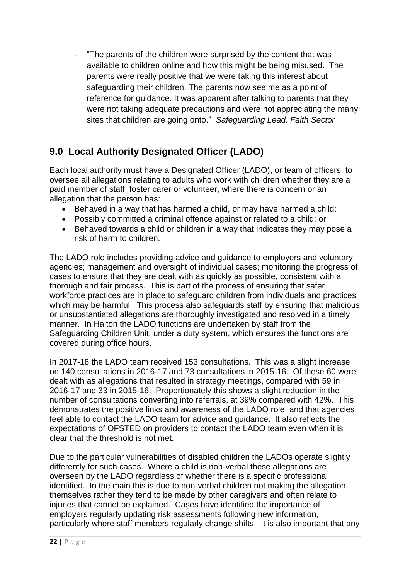- "The parents of the children were surprised by the content that was available to children online and how this might be being misused. The parents were really positive that we were taking this interest about safeguarding their children. The parents now see me as a point of reference for guidance. It was apparent after talking to parents that they were not taking adequate precautions and were not appreciating the many sites that children are going onto." *Safeguarding Lead, Faith Sector*

## **9.0 Local Authority Designated Officer (LADO)**

Each local authority must have a Designated Officer (LADO), or team of officers, to oversee all allegations relating to adults who work with children whether they are a paid member of staff, foster carer or volunteer, where there is concern or an allegation that the person has:

- Behaved in a way that has harmed a child, or may have harmed a child;
- Possibly committed a criminal offence against or related to a child; or
- Behaved towards a child or children in a way that indicates they may pose a risk of harm to children.

The LADO role includes providing advice and guidance to employers and voluntary agencies; management and oversight of individual cases; monitoring the progress of cases to ensure that they are dealt with as quickly as possible, consistent with a thorough and fair process. This is part of the process of ensuring that safer workforce practices are in place to safeguard children from individuals and practices which may be harmful. This process also safeguards staff by ensuring that malicious or unsubstantiated allegations are thoroughly investigated and resolved in a timely manner. In Halton the LADO functions are undertaken by staff from the Safeguarding Children Unit, under a duty system, which ensures the functions are covered during office hours.

In 2017-18 the LADO team received 153 consultations. This was a slight increase on 140 consultations in 2016-17 and 73 consultations in 2015-16. Of these 60 were dealt with as allegations that resulted in strategy meetings, compared with 59 in 2016-17 and 33 in 2015-16. Proportionately this shows a slight reduction in the number of consultations converting into referrals, at 39% compared with 42%. This demonstrates the positive links and awareness of the LADO role, and that agencies feel able to contact the LADO team for advice and guidance. It also reflects the expectations of OFSTED on providers to contact the LADO team even when it is clear that the threshold is not met.

Due to the particular vulnerabilities of disabled children the LADOs operate slightly differently for such cases. Where a child is non-verbal these allegations are overseen by the LADO regardless of whether there is a specific professional identified. In the main this is due to non-verbal children not making the allegation themselves rather they tend to be made by other caregivers and often relate to injuries that cannot be explained. Cases have identified the importance of employers regularly updating risk assessments following new information, particularly where staff members regularly change shifts. It is also important that any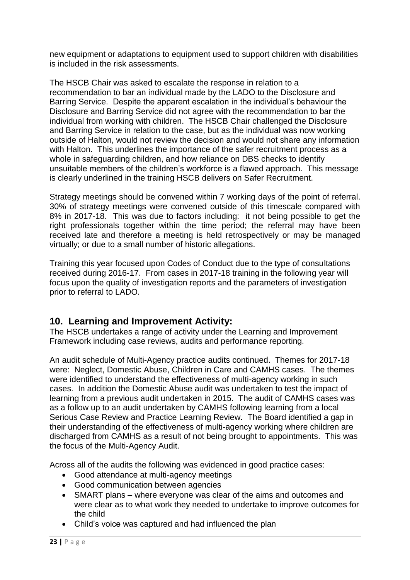new equipment or adaptations to equipment used to support children with disabilities is included in the risk assessments.

The HSCB Chair was asked to escalate the response in relation to a recommendation to bar an individual made by the LADO to the Disclosure and Barring Service. Despite the apparent escalation in the individual's behaviour the Disclosure and Barring Service did not agree with the recommendation to bar the individual from working with children. The HSCB Chair challenged the Disclosure and Barring Service in relation to the case, but as the individual was now working outside of Halton, would not review the decision and would not share any information with Halton. This underlines the importance of the safer recruitment process as a whole in safeguarding children, and how reliance on DBS checks to identify unsuitable members of the children's workforce is a flawed approach. This message is clearly underlined in the training HSCB delivers on Safer Recruitment.

Strategy meetings should be convened within 7 working days of the point of referral. 30% of strategy meetings were convened outside of this timescale compared with 8% in 2017-18. This was due to factors including: it not being possible to get the right professionals together within the time period; the referral may have been received late and therefore a meeting is held retrospectively or may be managed virtually; or due to a small number of historic allegations.

Training this year focused upon Codes of Conduct due to the type of consultations received during 2016-17. From cases in 2017-18 training in the following year will focus upon the quality of investigation reports and the parameters of investigation prior to referral to LADO.

#### **10. Learning and Improvement Activity:**

The HSCB undertakes a range of activity under the Learning and Improvement Framework including case reviews, audits and performance reporting.

An audit schedule of Multi-Agency practice audits continued. Themes for 2017-18 were: Neglect, Domestic Abuse, Children in Care and CAMHS cases. The themes were identified to understand the effectiveness of multi-agency working in such cases. In addition the Domestic Abuse audit was undertaken to test the impact of learning from a previous audit undertaken in 2015. The audit of CAMHS cases was as a follow up to an audit undertaken by CAMHS following learning from a local Serious Case Review and Practice Learning Review. The Board identified a gap in their understanding of the effectiveness of multi-agency working where children are discharged from CAMHS as a result of not being brought to appointments. This was the focus of the Multi-Agency Audit.

Across all of the audits the following was evidenced in good practice cases:

- Good attendance at multi-agency meetings
- Good communication between agencies
- SMART plans where everyone was clear of the aims and outcomes and were clear as to what work they needed to undertake to improve outcomes for the child
- Child's voice was captured and had influenced the plan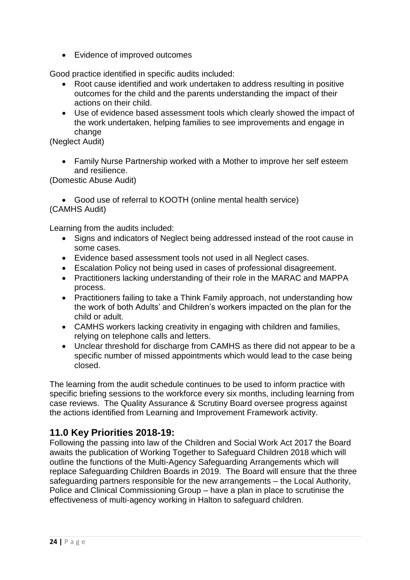Evidence of improved outcomes

Good practice identified in specific audits included:

- Root cause identified and work undertaken to address resulting in positive outcomes for the child and the parents understanding the impact of their actions on their child.
- Use of evidence based assessment tools which clearly showed the impact of the work undertaken, helping families to see improvements and engage in change

(Neglect Audit)

 Family Nurse Partnership worked with a Mother to improve her self esteem and resilience.

(Domestic Abuse Audit)

 Good use of referral to KOOTH (online mental health service) (CAMHS Audit)

Learning from the audits included:

- Signs and indicators of Neglect being addressed instead of the root cause in some cases.
- Evidence based assessment tools not used in all Neglect cases.
- Escalation Policy not being used in cases of professional disagreement.
- Practitioners lacking understanding of their role in the MARAC and MAPPA process.
- Practitioners failing to take a Think Family approach, not understanding how the work of both Adults' and Children's workers impacted on the plan for the child or adult.
- CAMHS workers lacking creativity in engaging with children and families, relying on telephone calls and letters.
- Unclear threshold for discharge from CAMHS as there did not appear to be a specific number of missed appointments which would lead to the case being closed.

The learning from the audit schedule continues to be used to inform practice with specific briefing sessions to the workforce every six months, including learning from case reviews. The Quality Assurance & Scrutiny Board oversee progress against the actions identified from Learning and Improvement Framework activity.

#### **11.0 Key Priorities 2018-19:**

Following the passing into law of the Children and Social Work Act 2017 the Board awaits the publication of Working Together to Safeguard Children 2018 which will outline the functions of the Multi-Agency Safeguarding Arrangements which will replace Safeguarding Children Boards in 2019. The Board will ensure that the three safeguarding partners responsible for the new arrangements – the Local Authority, Police and Clinical Commissioning Group – have a plan in place to scrutinise the effectiveness of multi-agency working in Halton to safeguard children.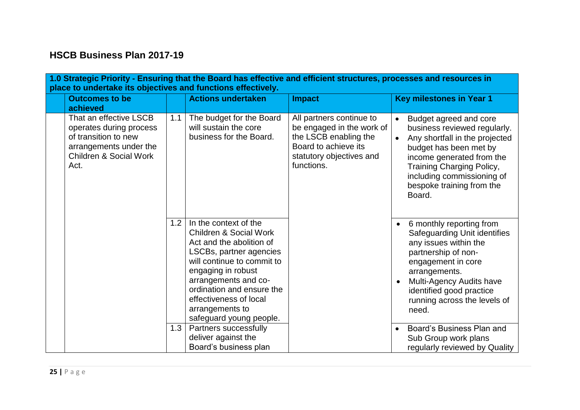## **HSCB Business Plan 2017-19**

| 1.0 Strategic Priority - Ensuring that the Board has effective and efficient structures, processes and resources in<br>place to undertake its objectives and functions effectively. |     |                                                                                                                                                                                                                                                                                                    |                                                                                                                                                  |                                                                                                                                                                                                                                                               |  |  |  |  |  |
|-------------------------------------------------------------------------------------------------------------------------------------------------------------------------------------|-----|----------------------------------------------------------------------------------------------------------------------------------------------------------------------------------------------------------------------------------------------------------------------------------------------------|--------------------------------------------------------------------------------------------------------------------------------------------------|---------------------------------------------------------------------------------------------------------------------------------------------------------------------------------------------------------------------------------------------------------------|--|--|--|--|--|
| <b>Outcomes to be</b><br>achieved                                                                                                                                                   |     | <b>Actions undertaken</b>                                                                                                                                                                                                                                                                          | <b>Impact</b>                                                                                                                                    | <b>Key milestones in Year 1</b>                                                                                                                                                                                                                               |  |  |  |  |  |
| That an effective LSCB<br>operates during process<br>of transition to new<br>arrangements under the<br><b>Children &amp; Social Work</b><br>Act.                                    | 1.1 | The budget for the Board<br>will sustain the core<br>business for the Board.                                                                                                                                                                                                                       | All partners continue to<br>be engaged in the work of<br>the LSCB enabling the<br>Board to achieve its<br>statutory objectives and<br>functions. | Budget agreed and core<br>business reviewed regularly.<br>Any shortfall in the projected<br>budget has been met by<br>income generated from the<br>Training Charging Policy,<br>including commissioning of<br>bespoke training from the<br>Board.             |  |  |  |  |  |
|                                                                                                                                                                                     | 1.2 | In the context of the<br><b>Children &amp; Social Work</b><br>Act and the abolition of<br>LSCBs, partner agencies<br>will continue to commit to<br>engaging in robust<br>arrangements and co-<br>ordination and ensure the<br>effectiveness of local<br>arrangements to<br>safeguard young people. |                                                                                                                                                  | 6 monthly reporting from<br>$\bullet$<br>Safeguarding Unit identifies<br>any issues within the<br>partnership of non-<br>engagement in core<br>arrangements.<br>Multi-Agency Audits have<br>identified good practice<br>running across the levels of<br>need. |  |  |  |  |  |
|                                                                                                                                                                                     | 1.3 | Partners successfully<br>deliver against the<br>Board's business plan                                                                                                                                                                                                                              |                                                                                                                                                  | Board's Business Plan and<br>Sub Group work plans<br>regularly reviewed by Quality                                                                                                                                                                            |  |  |  |  |  |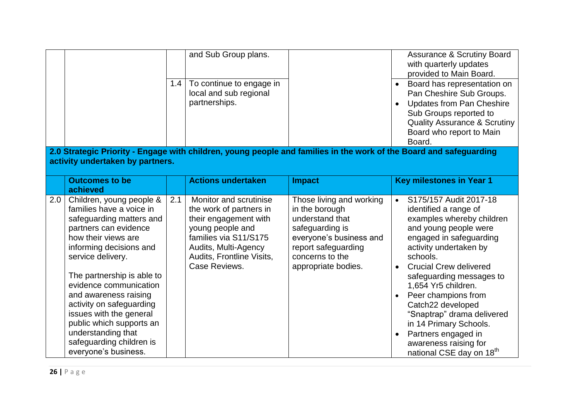|     | activity undertaken by partners.                                                                                                                                                                                                                                                                                                                                                                                               | 1.4 | and Sub Group plans.<br>To continue to engage in<br>local and sub regional<br>partnerships.                                                                                                   | 2.0 Strategic Priority - Engage with children, young people and families in the work of the Board and safeguarding                                                           |           | <b>Assurance &amp; Scrutiny Board</b><br>with quarterly updates<br>provided to Main Board.<br>Board has representation on<br>Pan Cheshire Sub Groups.<br><b>Updates from Pan Cheshire</b><br>Sub Groups reported to<br><b>Quality Assurance &amp; Scrutiny</b><br>Board who report to Main<br>Board.                                                                                                                                                   |
|-----|--------------------------------------------------------------------------------------------------------------------------------------------------------------------------------------------------------------------------------------------------------------------------------------------------------------------------------------------------------------------------------------------------------------------------------|-----|-----------------------------------------------------------------------------------------------------------------------------------------------------------------------------------------------|------------------------------------------------------------------------------------------------------------------------------------------------------------------------------|-----------|--------------------------------------------------------------------------------------------------------------------------------------------------------------------------------------------------------------------------------------------------------------------------------------------------------------------------------------------------------------------------------------------------------------------------------------------------------|
|     | <b>Outcomes to be</b>                                                                                                                                                                                                                                                                                                                                                                                                          |     | <b>Actions undertaken</b>                                                                                                                                                                     | <b>Impact</b>                                                                                                                                                                |           | <b>Key milestones in Year 1</b>                                                                                                                                                                                                                                                                                                                                                                                                                        |
|     | achieved                                                                                                                                                                                                                                                                                                                                                                                                                       |     |                                                                                                                                                                                               |                                                                                                                                                                              |           |                                                                                                                                                                                                                                                                                                                                                                                                                                                        |
| 2.0 | Children, young people &<br>families have a voice in<br>safeguarding matters and<br>partners can evidence<br>how their views are<br>informing decisions and<br>service delivery.<br>The partnership is able to<br>evidence communication<br>and awareness raising<br>activity on safeguarding<br>issues with the general<br>public which supports an<br>understanding that<br>safeguarding children is<br>everyone's business. | 2.1 | Monitor and scrutinise<br>the work of partners in<br>their engagement with<br>young people and<br>families via S11/S175<br>Audits, Multi-Agency<br>Audits, Frontline Visits,<br>Case Reviews. | Those living and working<br>in the borough<br>understand that<br>safeguarding is<br>everyone's business and<br>report safeguarding<br>concerns to the<br>appropriate bodies. | $\bullet$ | S175/157 Audit 2017-18<br>identified a range of<br>examples whereby children<br>and young people were<br>engaged in safeguarding<br>activity undertaken by<br>schools.<br><b>Crucial Crew delivered</b><br>safeguarding messages to<br>1,654 Yr5 children.<br>Peer champions from<br>Catch22 developed<br>"Snaptrap" drama delivered<br>in 14 Primary Schools.<br>Partners engaged in<br>awareness raising for<br>national CSE day on 18 <sup>th</sup> |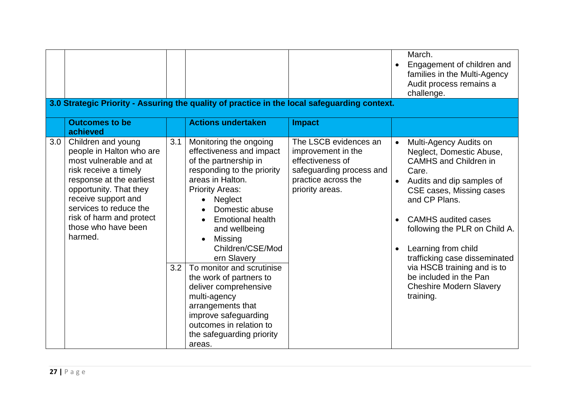|     |                                                                                                                                                                                                                                                                        |            |                                                                                                                                                                                                                                                                                                                                                                                                                                                                                                             |                                                                                                                                       |                                     | March.<br>Engagement of children and<br>families in the Multi-Agency<br>Audit process remains a<br>challenge.                                                                                                                                                                                                                                                                                        |  |  |
|-----|------------------------------------------------------------------------------------------------------------------------------------------------------------------------------------------------------------------------------------------------------------------------|------------|-------------------------------------------------------------------------------------------------------------------------------------------------------------------------------------------------------------------------------------------------------------------------------------------------------------------------------------------------------------------------------------------------------------------------------------------------------------------------------------------------------------|---------------------------------------------------------------------------------------------------------------------------------------|-------------------------------------|------------------------------------------------------------------------------------------------------------------------------------------------------------------------------------------------------------------------------------------------------------------------------------------------------------------------------------------------------------------------------------------------------|--|--|
|     | 3.0 Strategic Priority - Assuring the quality of practice in the local safeguarding context.                                                                                                                                                                           |            |                                                                                                                                                                                                                                                                                                                                                                                                                                                                                                             |                                                                                                                                       |                                     |                                                                                                                                                                                                                                                                                                                                                                                                      |  |  |
|     | <b>Outcomes to be</b><br>achieved                                                                                                                                                                                                                                      |            | <b>Actions undertaken</b>                                                                                                                                                                                                                                                                                                                                                                                                                                                                                   | <b>Impact</b>                                                                                                                         |                                     |                                                                                                                                                                                                                                                                                                                                                                                                      |  |  |
| 3.0 | Children and young<br>people in Halton who are<br>most vulnerable and at<br>risk receive a timely<br>response at the earliest<br>opportunity. That they<br>receive support and<br>services to reduce the<br>risk of harm and protect<br>those who have been<br>harmed. | 3.1<br>3.2 | Monitoring the ongoing<br>effectiveness and impact<br>of the partnership in<br>responding to the priority<br>areas in Halton.<br><b>Priority Areas:</b><br>Neglect<br>$\bullet$<br>Domestic abuse<br><b>Emotional health</b><br>and wellbeing<br>Missing<br>Children/CSE/Mod<br>ern Slavery<br>To monitor and scrutinise<br>the work of partners to<br>deliver comprehensive<br>multi-agency<br>arrangements that<br>improve safeguarding<br>outcomes in relation to<br>the safeguarding priority<br>areas. | The LSCB evidences an<br>improvement in the<br>effectiveness of<br>safeguarding process and<br>practice across the<br>priority areas. | $\bullet$<br>$\bullet$<br>$\bullet$ | Multi-Agency Audits on<br>Neglect, Domestic Abuse,<br><b>CAMHS and Children in</b><br>Care.<br>Audits and dip samples of<br>CSE cases, Missing cases<br>and CP Plans.<br><b>CAMHS</b> audited cases<br>following the PLR on Child A.<br>Learning from child<br>trafficking case disseminated<br>via HSCB training and is to<br>be included in the Pan<br><b>Cheshire Modern Slavery</b><br>training. |  |  |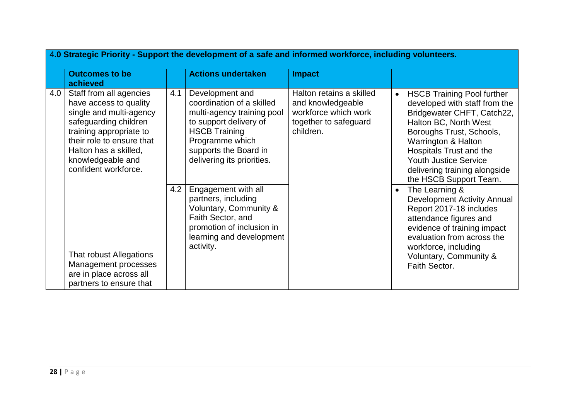|     | 4.0 Strategic Priority - Support the development of a safe and informed workforce, including volunteers.                                                                                                                            |     |                                                                                                                                                                                                        |                                                                                                             |           |                                                                                                                                                                                                                                                                                                    |  |
|-----|-------------------------------------------------------------------------------------------------------------------------------------------------------------------------------------------------------------------------------------|-----|--------------------------------------------------------------------------------------------------------------------------------------------------------------------------------------------------------|-------------------------------------------------------------------------------------------------------------|-----------|----------------------------------------------------------------------------------------------------------------------------------------------------------------------------------------------------------------------------------------------------------------------------------------------------|--|
|     | <b>Outcomes to be</b><br>achieved                                                                                                                                                                                                   |     | <b>Actions undertaken</b>                                                                                                                                                                              | <b>Impact</b>                                                                                               |           |                                                                                                                                                                                                                                                                                                    |  |
| 4.0 | Staff from all agencies<br>have access to quality<br>single and multi-agency<br>safeguarding children<br>training appropriate to<br>their role to ensure that<br>Halton has a skilled,<br>knowledgeable and<br>confident workforce. | 4.1 | Development and<br>coordination of a skilled<br>multi-agency training pool<br>to support delivery of<br><b>HSCB Training</b><br>Programme which<br>supports the Board in<br>delivering its priorities. | Halton retains a skilled<br>and knowledgeable<br>workforce which work<br>together to safeguard<br>children. | $\bullet$ | <b>HSCB Training Pool further</b><br>developed with staff from the<br>Bridgewater CHFT, Catch22,<br>Halton BC, North West<br>Boroughs Trust, Schools,<br>Warrington & Halton<br>Hospitals Trust and the<br><b>Youth Justice Service</b><br>delivering training alongside<br>the HSCB Support Team. |  |
|     | That robust Allegations<br>Management processes<br>are in place across all<br>partners to ensure that                                                                                                                               | 4.2 | Engagement with all<br>partners, including<br>Voluntary, Community &<br>Faith Sector, and<br>promotion of inclusion in<br>learning and development<br>activity.                                        |                                                                                                             | $\bullet$ | The Learning &<br><b>Development Activity Annual</b><br>Report 2017-18 includes<br>attendance figures and<br>evidence of training impact<br>evaluation from across the<br>workforce, including<br>Voluntary, Community &<br>Faith Sector.                                                          |  |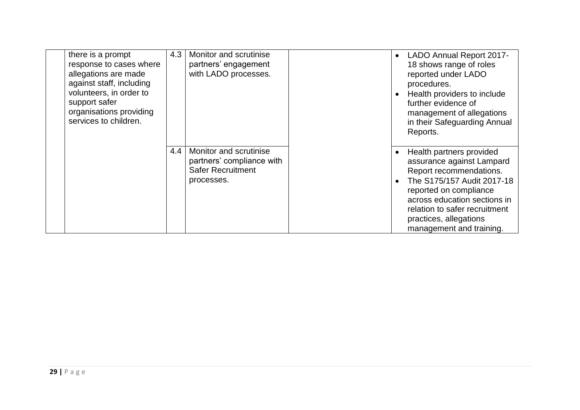| there is a prompt<br>response to cases where<br>allegations are made<br>against staff, including<br>volunteers, in order to<br>support safer<br>organisations providing<br>services to children. | 4.3 | Monitor and scrutinise<br>partners' engagement<br>with LADO processes.                        | $\bullet$ | <b>LADO Annual Report 2017-</b><br>18 shows range of roles<br>reported under LADO<br>procedures.<br>Health providers to include<br>further evidence of<br>management of allegations<br>in their Safeguarding Annual<br>Reports.                                 |
|--------------------------------------------------------------------------------------------------------------------------------------------------------------------------------------------------|-----|-----------------------------------------------------------------------------------------------|-----------|-----------------------------------------------------------------------------------------------------------------------------------------------------------------------------------------------------------------------------------------------------------------|
|                                                                                                                                                                                                  | 4.4 | Monitor and scrutinise<br>partners' compliance with<br><b>Safer Recruitment</b><br>processes. |           | Health partners provided<br>assurance against Lampard<br>Report recommendations.<br>The S175/157 Audit 2017-18<br>reported on compliance<br>across education sections in<br>relation to safer recruitment<br>practices, allegations<br>management and training. |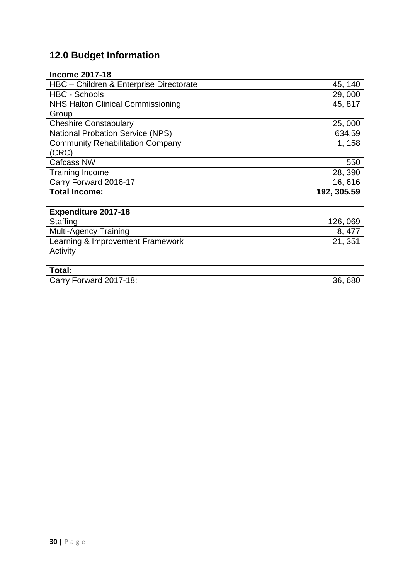# **12.0 Budget Information**

| <b>Income 2017-18</b>                   |             |
|-----------------------------------------|-------------|
| HBC - Children & Enterprise Directorate | 45, 140     |
| <b>HBC - Schools</b>                    | 29,000      |
| NHS Halton Clinical Commissioning       | 45, 817     |
| Group                                   |             |
| <b>Cheshire Constabulary</b>            | 25,000      |
| <b>National Probation Service (NPS)</b> | 634.59      |
| <b>Community Rehabilitation Company</b> | 1, 158      |
| (CRC)                                   |             |
| <b>Cafcass NW</b>                       | 550         |
| <b>Training Income</b>                  | 28, 390     |
| Carry Forward 2016-17                   | 16,616      |
| <b>Total Income:</b>                    | 192, 305.59 |
|                                         |             |

| <b>Expenditure 2017-18</b>       |          |
|----------------------------------|----------|
| Staffing                         | 126, 069 |
| <b>Multi-Agency Training</b>     | 8, 477   |
| Learning & Improvement Framework | 21, 351  |
| Activity                         |          |
|                                  |          |
| Total:                           |          |
| Carry Forward 2017-18:           | 36,680   |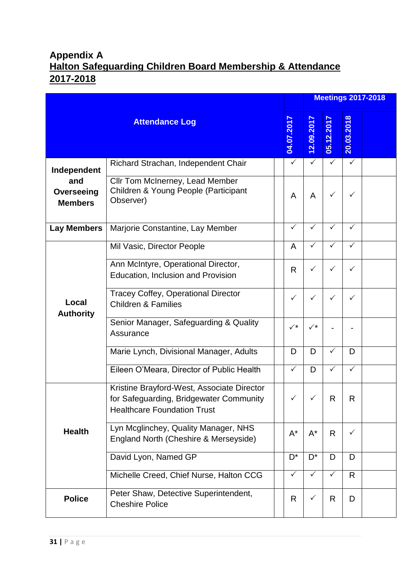## **Appendix A Halton Safeguarding Children Board Membership & Attendance 2017-2018**

|                                     |                                                                                                                             |                |                |              |              | <b>Meetings 2017-2018</b> |
|-------------------------------------|-----------------------------------------------------------------------------------------------------------------------------|----------------|----------------|--------------|--------------|---------------------------|
|                                     | <b>Attendance Log</b>                                                                                                       | 04.07.2017     | 12.09.2017     | 05.12.2017   | 20.03.2018   |                           |
| Independent                         | Richard Strachan, Independent Chair                                                                                         | $\checkmark$   | $\checkmark$   | $\checkmark$ | $\checkmark$ |                           |
| and<br>Overseeing<br><b>Members</b> | Cllr Tom McInerney, Lead Member<br>Children & Young People (Participant<br>Observer)                                        | A              | A              | ✓            | ✓            |                           |
| <b>Lay Members</b>                  | Marjorie Constantine, Lay Member                                                                                            | ✓              | $\checkmark$   | ✓            | ✓            |                           |
|                                     | Mil Vasic, Director People                                                                                                  | A              | $\checkmark$   | ✓            | $\checkmark$ |                           |
|                                     | Ann McIntyre, Operational Director,<br>Education, Inclusion and Provision                                                   | R.             | ✓              | ✓            | $\checkmark$ |                           |
| Local<br><b>Authority</b>           | <b>Tracey Coffey, Operational Director</b><br><b>Children &amp; Families</b>                                                | ✓              | ✓              | ✓            | ✓            |                           |
|                                     | Senior Manager, Safeguarding & Quality<br>Assurance                                                                         | $\checkmark^*$ | $\checkmark^*$ |              |              |                           |
|                                     | Marie Lynch, Divisional Manager, Adults                                                                                     | D              | D              | ✓            | D            |                           |
|                                     | Eileen O'Meara, Director of Public Health                                                                                   | ✓              | D              | $\checkmark$ | $\checkmark$ |                           |
|                                     | Kristine Brayford-West, Associate Director<br>for Safeguarding, Bridgewater Community<br><b>Healthcare Foundation Trust</b> | $\checkmark$   | $\mathcal{L}$  | R            | R            |                           |
| <b>Health</b>                       | Lyn Mcglinchey, Quality Manager, NHS<br>England North (Cheshire & Merseyside)                                               | $A^*$          | $A^*$          | $\mathsf{R}$ | $\checkmark$ |                           |
|                                     | David Lyon, Named GP                                                                                                        | $D^*$          | $D^*$          | D            | D            |                           |
|                                     | Michelle Creed, Chief Nurse, Halton CCG                                                                                     | ✓              | ✓              | ✓            | R            |                           |
| <b>Police</b>                       | Peter Shaw, Detective Superintendent,<br><b>Cheshire Police</b>                                                             | R.             | $\checkmark$   | R            | D            |                           |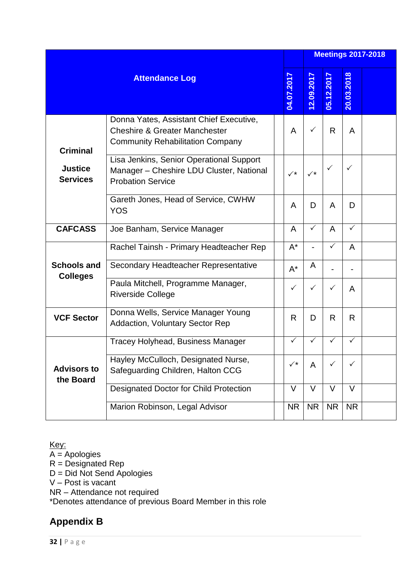|                                   |                                                                                                                                |  |                      |            |            |              | <b>Meetings 2017-2018</b> |
|-----------------------------------|--------------------------------------------------------------------------------------------------------------------------------|--|----------------------|------------|------------|--------------|---------------------------|
|                                   | <b>Attendance Log</b>                                                                                                          |  | 04.07.2017           | 12.09.2017 | 05.12.2017 | 20.03.2018   |                           |
| <b>Criminal</b>                   | Donna Yates, Assistant Chief Executive,<br><b>Cheshire &amp; Greater Manchester</b><br><b>Community Rehabilitation Company</b> |  | A                    | ✓          | R          | A            |                           |
| <b>Justice</b><br><b>Services</b> | Lisa Jenkins, Senior Operational Support<br>Manager - Cheshire LDU Cluster, National<br><b>Probation Service</b>               |  |                      |            |            | ✓            |                           |
|                                   | Gareth Jones, Head of Service, CWHW<br><b>YOS</b>                                                                              |  | A                    | D          | A          | D            |                           |
| <b>CAFCASS</b>                    | Joe Banham, Service Manager                                                                                                    |  | A                    | ✓          | A          | $\checkmark$ |                           |
|                                   | Rachel Tainsh - Primary Headteacher Rep                                                                                        |  | $A^*$                |            |            | A            |                           |
| <b>Schools and</b>                | Secondary Headteacher Representative                                                                                           |  | $A^*$                | A          |            |              |                           |
| <b>Colleges</b>                   | Paula Mitchell, Programme Manager,<br><b>Riverside College</b>                                                                 |  | $\checkmark$         | ✓          | ✓          | A            |                           |
| <b>VCF Sector</b>                 | Donna Wells, Service Manager Young<br><b>Addaction, Voluntary Sector Rep</b>                                                   |  | R.                   | D          | R          | R            |                           |
|                                   | <b>Tracey Holyhead, Business Manager</b>                                                                                       |  | ✓                    | ✓          | ✓          | ✓            |                           |
| <b>Advisors to</b><br>the Board   | Hayley McCulloch, Designated Nurse,<br>Safeguarding Children, Halton CCG                                                       |  | $\checkmark^{\star}$ | A          |            | ✓            |                           |
|                                   | <b>Designated Doctor for Child Protection</b>                                                                                  |  | $\vee$               | $\vee$     | $\vee$     | V            |                           |
|                                   | Marion Robinson, Legal Advisor                                                                                                 |  | <b>NR</b>            | <b>NR</b>  | <b>NR</b>  | <b>NR</b>    |                           |

Key:

A = Apologies R = Designated Rep D = Did Not Send Apologies V – Post is vacant NR – Attendance not required \*Denotes attendance of previous Board Member in this role

## **Appendix B**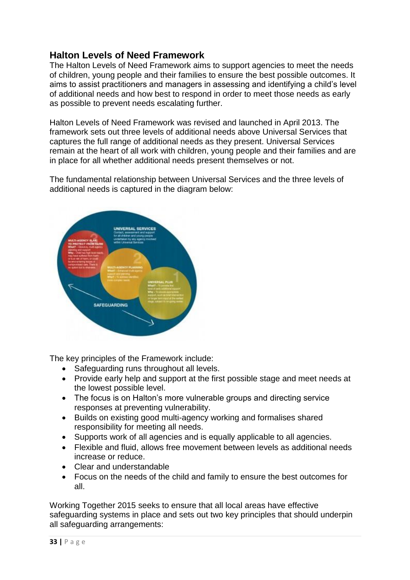#### **Halton Levels of Need Framework**

The Halton Levels of Need Framework aims to support agencies to meet the needs of children, young people and their families to ensure the best possible outcomes. It aims to assist practitioners and managers in assessing and identifying a child's level of additional needs and how best to respond in order to meet those needs as early as possible to prevent needs escalating further.

Halton Levels of Need Framework was revised and launched in April 2013. The framework sets out three levels of additional needs above Universal Services that captures the full range of additional needs as they present. Universal Services remain at the heart of all work with children, young people and their families and are in place for all whether additional needs present themselves or not.

The fundamental relationship between Universal Services and the three levels of additional needs is captured in the diagram below:



The key principles of the Framework include:

- Safeguarding runs throughout all levels.
- Provide early help and support at the first possible stage and meet needs at the lowest possible level.
- The focus is on Halton's more vulnerable groups and directing service responses at preventing vulnerability.
- Builds on existing good multi-agency working and formalises shared responsibility for meeting all needs.
- Supports work of all agencies and is equally applicable to all agencies.
- Flexible and fluid, allows free movement between levels as additional needs increase or reduce.
- Clear and understandable
- Focus on the needs of the child and family to ensure the best outcomes for all.

Working Together 2015 seeks to ensure that all local areas have effective safeguarding systems in place and sets out two key principles that should underpin all safeguarding arrangements: